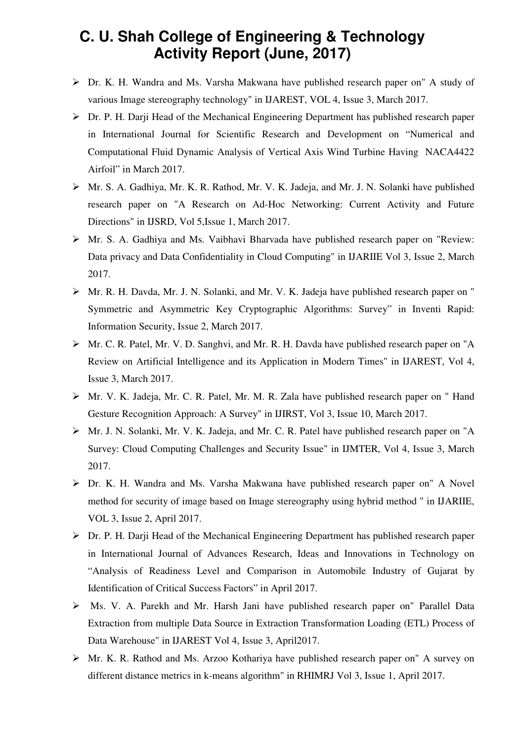## **C. U. Shah College of Engineering & Technology Activity Report (June, 2017)**

- Dr. K. H. Wandra and Ms. Varsha Makwana have published research paper on" A study of various Image stereography technology" in IJAREST, VOL 4, Issue 3, March 2017.
- Dr. P. H. Darji Head of the Mechanical Engineering Department has published research paper in International Journal for Scientific Research and Development on "Numerical and Computational Fluid Dynamic Analysis of Vertical Axis Wind Turbine Having NACA4422 Airfoil" in March 2017.
- Mr. S. A. Gadhiya, Mr. K. R. Rathod, Mr. V. K. Jadeja, and Mr. J. N. Solanki have published research paper on "A Research on Ad-Hoc Networking: Current Activity and Future Directions" in IJSRD, Vol 5,Issue 1, March 2017.
- Mr. S. A. Gadhiya and Ms. Vaibhavi Bharvada have published research paper on "Review: Data privacy and Data Confidentiality in Cloud Computing" in IJARIIE Vol 3, Issue 2, March 2017.
- Mr. R. H. Davda, Mr. J. N. Solanki, and Mr. V. K. Jadeja have published research paper on " Symmetric and Asymmetric Key Cryptographic Algorithms: Survey" in Inventi Rapid: Information Security, Issue 2, March 2017.
- Mr. C. R. Patel, Mr. V. D. Sanghvi, and Mr. R. H. Davda have published research paper on "A Review on Artificial Intelligence and its Application in Modern Times" in IJAREST, Vol 4, Issue 3, March 2017.
- Mr. V. K. Jadeja, Mr. C. R. Patel, Mr. M. R. Zala have published research paper on " Hand Gesture Recognition Approach: A Survey" in IJIRST, Vol 3, Issue 10, March 2017.
- Mr. J. N. Solanki, Mr. V. K. Jadeja, and Mr. C. R. Patel have published research paper on "A Survey: Cloud Computing Challenges and Security Issue" in IJMTER, Vol 4, Issue 3, March 2017.
- Dr. K. H. Wandra and Ms. Varsha Makwana have published research paper on" A Novel method for security of image based on Image stereography using hybrid method " in IJARIIE, VOL 3, Issue 2, April 2017.
- $\triangleright$  Dr. P. H. Darii Head of the Mechanical Engineering Department has published research paper in International Journal of Advances Research, Ideas and Innovations in Technology on "Analysis of Readiness Level and Comparison in Automobile Industry of Gujarat by Identification of Critical Success Factors" in April 2017.
- Ms. V. A. Parekh and Mr. Harsh Jani have published research paper on" Parallel Data Extraction from multiple Data Source in Extraction Transformation Loading (ETL) Process of Data Warehouse" in IJAREST Vol 4, Issue 3, April2017.
- Mr. K. R. Rathod and Ms. Arzoo Kothariya have published research paper on" A survey on different distance metrics in k-means algorithm" in RHIMRJ Vol 3, Issue 1, April 2017.